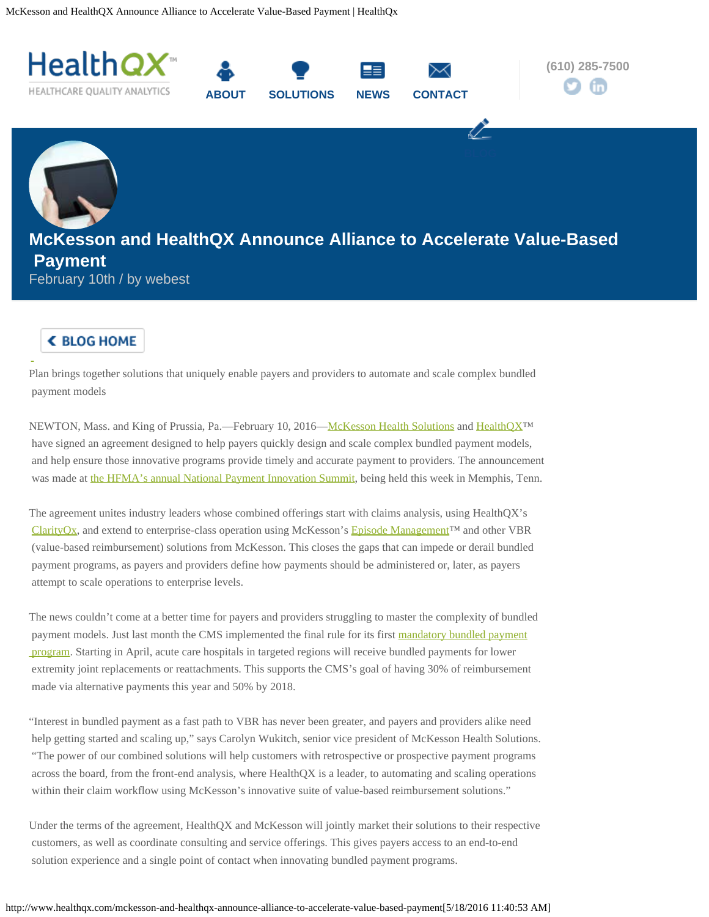<span id="page-0-0"></span>McKesson and HealthQX Announce Alliance to Accelerate Value-Based Payment | HealthQx



## **< BLOG HOME**

Plan brings together solutions that uniquely enable payers and providers to automate and scale complex bundled payment models

NEWTON, Mass. and King of Prussia, Pa.—February 10, 2016[—McKesson Health Solutions](http://www.mckesson.com/about-mckesson/our-company/businesses/mckesson-health-solutions/mckesson-health-solutions/) and [HealthQX](http://healthqx.com/)™ have signed an agreement designed to help payers quickly design and scale complex bundled payment models, and help ensure those innovative programs provide timely and accurate payment to providers. The announcement was made at [the HFMA's annual National Payment Innovation Summit](https://www.hfma.org/npis/Session/PC2_BundledPayment/), being held this week in Memphis, Tenn.

The agreement unites industry leaders whose combined offerings start with claims analysis, using HealthQX's [ClarityQx](http://healthqx.com/solutions), and extend to enterprise-class operation using McKesson's [Episode Management](http://www.mckesson.com/payers/network-and-financial-management/clinical-claims-management/episode-management/)™ and other VBR (value-based reimbursement) solutions from McKesson. This closes the gaps that can impede or derail bundled payment programs, as payers and providers define how payments should be administered or, later, as payers attempt to scale operations to enterprise levels.

The news couldn't come at a better time for payers and providers struggling to master the complexity of bundled payment models. Just last month the CMS implemented the final rule for its first [mandatory bundled payment](https://innovation.cms.gov/initiatives/cjr)  [program](https://innovation.cms.gov/initiatives/cjr). Starting in April, acute care hospitals in targeted regions will receive bundled payments for lower extremity joint replacements or reattachments. This supports the CMS's goal of having 30% of reimbursement made via alternative payments this year and 50% by 2018.

"Interest in bundled payment as a fast path to VBR has never been greater, and payers and providers alike need help getting started and scaling up," says Carolyn Wukitch, senior vice president of McKesson Health Solutions. "The power of our combined solutions will help customers with retrospective or prospective payment programs across the board, from the front-end analysis, where HealthQX is a leader, to automating and scaling operations within their claim workflow using McKesson's innovative suite of value-based reimbursement solutions."

Under the terms of the agreement, HealthQX and McKesson will jointly market their solutions to their respective customers, as well as coordinate consulting and service offerings. This gives payers access to an end-to-end solution experience and a single point of contact when innovating bundled payment programs.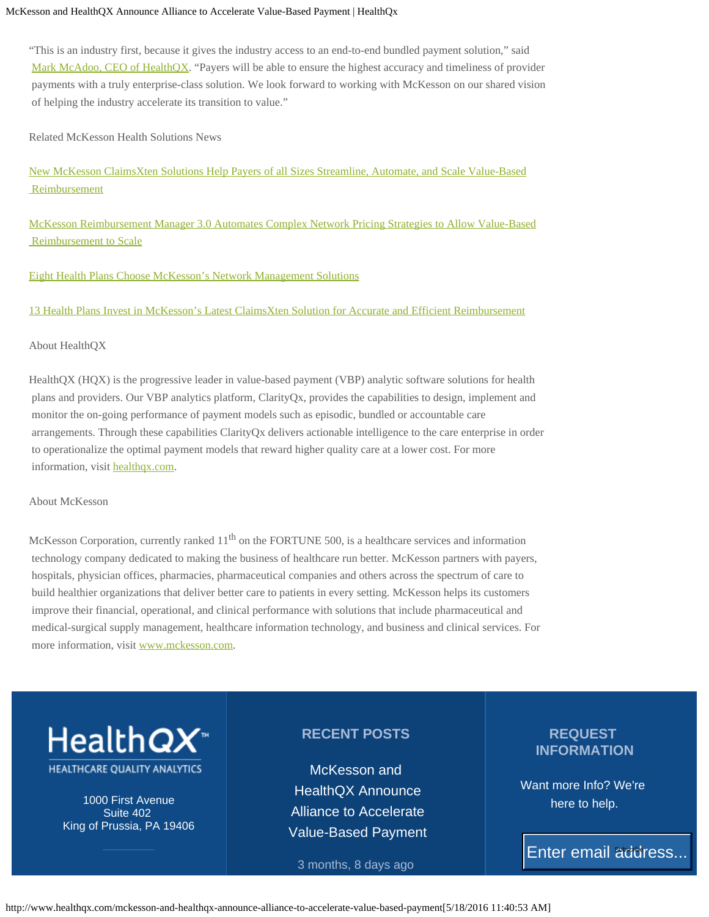## McKesson and HealthQX Announce Alliance to Accelerate Value-Based Payment | HealthQx

"This is an industry first, because it gives the industry access to an end-to-end bundled payment solution," said [Mark McAdoo, CEO of HealthQX](http://healthqx.com/about-healthqx/management-team). "Payers will be able to ensure the highest accuracy and timeliness of provider payments with a truly enterprise-class solution. We look forward to working with McKesson on our shared vision of helping the industry accelerate its transition to value."

Related McKesson Health Solutions News

[New McKesson ClaimsXten Solutions Help Payers of all Sizes Streamline, Automate, and Scale Value-Based](http://www.mckesson.com/about-mckesson/newsroom/press-releases/2016/new-claimsxten-solutions-help-payers-of-all-sizes/)  [Reimbursement](http://www.mckesson.com/about-mckesson/newsroom/press-releases/2016/new-claimsxten-solutions-help-payers-of-all-sizes/)

[McKesson Reimbursement Manager 3.0 Automates Complex Network Pricing Strategies to Allow Value-Based](http://www.mckesson.com/about-mckesson/newsroom/press-releases/2015/mckesson-reimbursement-manager-30-automates-complex-network-pricing-strategies/)  [Reimbursement to Scale](http://www.mckesson.com/about-mckesson/newsroom/press-releases/2015/mckesson-reimbursement-manager-30-automates-complex-network-pricing-strategies/)

[Eight Health Plans Choose McKesson's Network Management Solutions](http://www.mckesson.com/about-mckesson/newsroom/press-releases/2015/eight-health-plans-choose-mckesson-network-management-solutions/)

[13 Health Plans Invest in McKesson's Latest ClaimsXten Solution for Accurate and Efficient Reimbursement](http://www.mckesson.com/about-mckesson/newsroom/press-releases/2015/health-plans-invest-in-mckessons-latest-claimsxten-solution/)

About HealthQX

HealthQX (HQX) is the progressive leader in value-based payment (VBP) analytic software solutions for health plans and providers. Our VBP analytics platform, ClarityQx, provides the capabilities to design, implement and monitor the on-going performance of payment models such as episodic, bundled or accountable care arrangements. Through these capabilities ClarityQx delivers actionable intelligence to the care enterprise in order to operationalize the optimal payment models that reward higher quality care at a lower cost. For more information, visit [healthqx.com](http://healthqx.com/).

About McKesson

McKesson Corporation, currently ranked 11<sup>th</sup> on the FORTUNE 500, is a healthcare services and information technology company dedicated to making the business of healthcare run better. McKesson partners with payers, hospitals, physician offices, pharmacies, pharmaceutical companies and others across the spectrum of care to build healthier organizations that deliver better care to patients in every setting. McKesson helps its customers improve their financial, operational, and clinical performance with solutions that include pharmaceutical and medical-surgical supply management, healthcare information technology, and business and clinical services. For more information, visit [www.mckesson.com](http://www.mckesson.com/).



1000 First Avenue Suite 402 King of Prussia, PA 19406

## **RECENT POSTS**

[McKesson and](#page-0-0)  [HealthQX Announce](#page-0-0)  [Alliance to Accelerate](#page-0-0)  [Value-Based Payment](#page-0-0)

3 months, 8 days ago

## **REQUEST INFORMATION**

Want more Info? We're here to help.